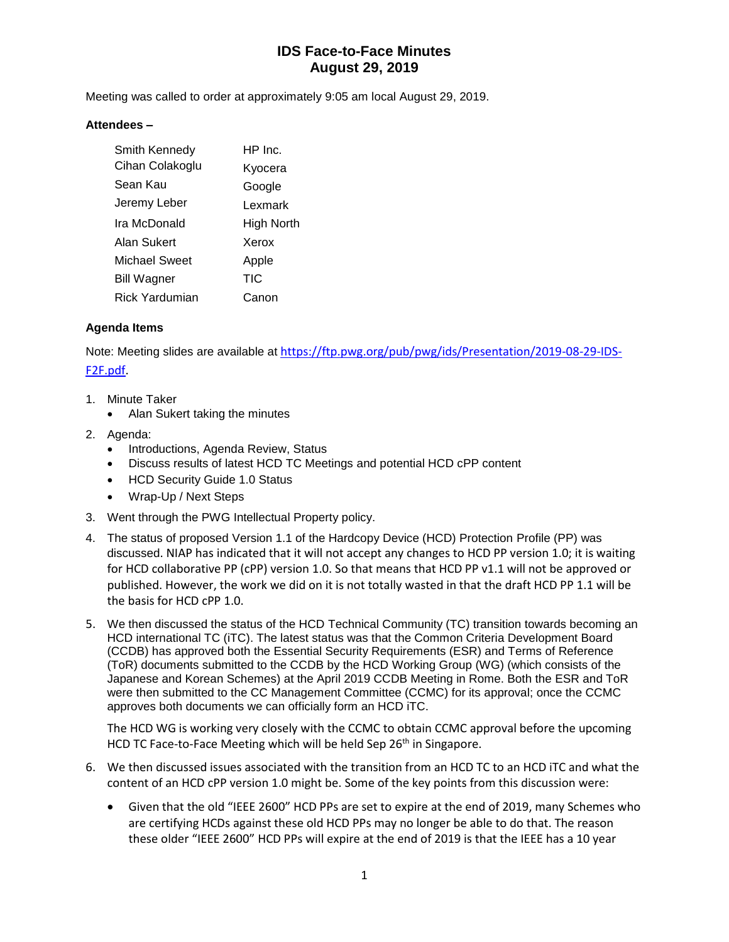# **IDS Face-to-Face Minutes August 29, 2019**

Meeting was called to order at approximately 9:05 am local August 29, 2019.

#### **Attendees –**

| Smith Kennedy        | $HP$ Inc.  |
|----------------------|------------|
| Cihan Colakoglu      | Kyocera    |
| Sean Kau             | Google     |
| Jeremy Leber         | Lexmark    |
| Ira McDonald         | High North |
| Alan Sukert          | Xerox      |
| <b>Michael Sweet</b> | Apple      |
| <b>Bill Wagner</b>   | TIC        |
| Rick Yardumian       | Canon      |

### **Agenda Items**

Note: Meeting slides are available at [https://ftp.pwg.org/pub/pwg/ids/Presentation/2019-08-29-IDS-](https://ftp.pwg.org/pub/pwg/ids/Presentation/2019-08-29-IDS-F2F.pdf)[F2F.pdf.](https://ftp.pwg.org/pub/pwg/ids/Presentation/2019-08-29-IDS-F2F.pdf)

- 1. Minute Taker
	- Alan Sukert taking the minutes
- 2. Agenda:
	- Introductions, Agenda Review, Status
	- Discuss results of latest HCD TC Meetings and potential HCD cPP content
	- HCD Security Guide 1.0 Status
	- Wrap-Up / Next Steps
- 3. Went through the PWG Intellectual Property policy.
- 4. The status of proposed Version 1.1 of the Hardcopy Device (HCD) Protection Profile (PP) was discussed. NIAP has indicated that it will not accept any changes to HCD PP version 1.0; it is waiting for HCD collaborative PP (cPP) version 1.0. So that means that HCD PP v1.1 will not be approved or published. However, the work we did on it is not totally wasted in that the draft HCD PP 1.1 will be the basis for HCD cPP 1.0.
- 5. We then discussed the status of the HCD Technical Community (TC) transition towards becoming an HCD international TC (iTC). The latest status was that the Common Criteria Development Board (CCDB) has approved both the Essential Security Requirements (ESR) and Terms of Reference (ToR) documents submitted to the CCDB by the HCD Working Group (WG) (which consists of the Japanese and Korean Schemes) at the April 2019 CCDB Meeting in Rome. Both the ESR and ToR were then submitted to the CC Management Committee (CCMC) for its approval; once the CCMC approves both documents we can officially form an HCD iTC.

The HCD WG is working very closely with the CCMC to obtain CCMC approval before the upcoming HCD TC Face-to-Face Meeting which will be held Sep 26<sup>th</sup> in Singapore.

- 6. We then discussed issues associated with the transition from an HCD TC to an HCD iTC and what the content of an HCD cPP version 1.0 might be. Some of the key points from this discussion were:
	- Given that the old "IEEE 2600" HCD PPs are set to expire at the end of 2019, many Schemes who are certifying HCDs against these old HCD PPs may no longer be able to do that. The reason these older "IEEE 2600" HCD PPs will expire at the end of 2019 is that the IEEE has a 10 year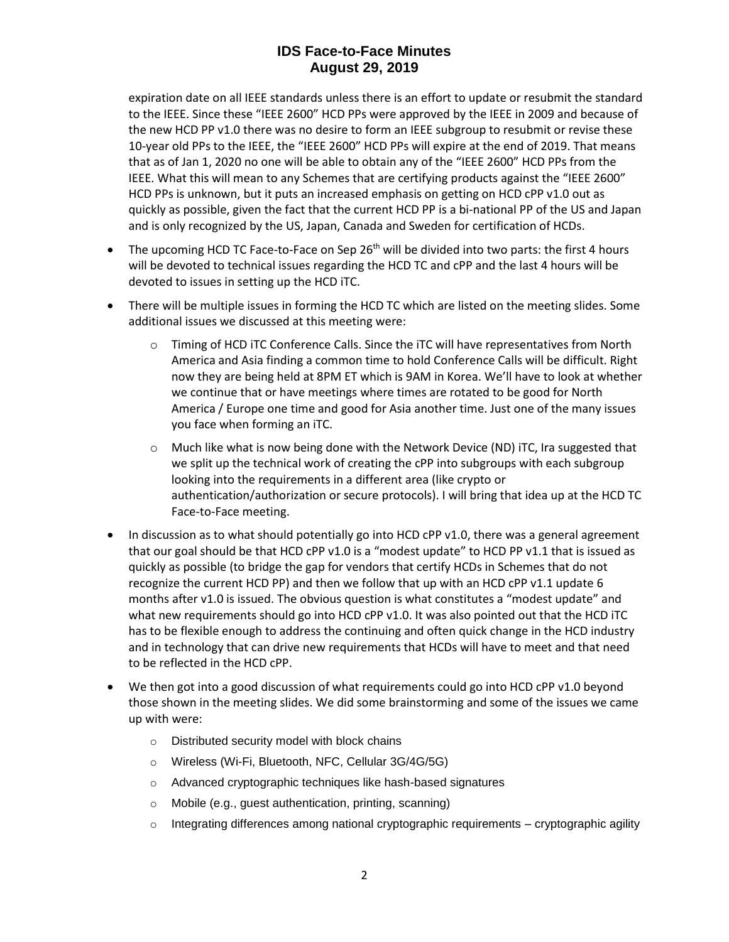# **IDS Face-to-Face Minutes August 29, 2019**

expiration date on all IEEE standards unless there is an effort to update or resubmit the standard to the IEEE. Since these "IEEE 2600" HCD PPs were approved by the IEEE in 2009 and because of the new HCD PP v1.0 there was no desire to form an IEEE subgroup to resubmit or revise these 10-year old PPs to the IEEE, the "IEEE 2600" HCD PPs will expire at the end of 2019. That means that as of Jan 1, 2020 no one will be able to obtain any of the "IEEE 2600" HCD PPs from the IEEE. What this will mean to any Schemes that are certifying products against the "IEEE 2600" HCD PPs is unknown, but it puts an increased emphasis on getting on HCD cPP v1.0 out as quickly as possible, given the fact that the current HCD PP is a bi-national PP of the US and Japan and is only recognized by the US, Japan, Canada and Sweden for certification of HCDs.

- The upcoming HCD TC Face-to-Face on Sep 26<sup>th</sup> will be divided into two parts: the first 4 hours will be devoted to technical issues regarding the HCD TC and cPP and the last 4 hours will be devoted to issues in setting up the HCD iTC.
- There will be multiple issues in forming the HCD TC which are listed on the meeting slides. Some additional issues we discussed at this meeting were:
	- $\circ$  Timing of HCD iTC Conference Calls. Since the iTC will have representatives from North America and Asia finding a common time to hold Conference Calls will be difficult. Right now they are being held at 8PM ET which is 9AM in Korea. We'll have to look at whether we continue that or have meetings where times are rotated to be good for North America / Europe one time and good for Asia another time. Just one of the many issues you face when forming an iTC.
	- $\circ$  Much like what is now being done with the Network Device (ND) iTC, Ira suggested that we split up the technical work of creating the cPP into subgroups with each subgroup looking into the requirements in a different area (like crypto or authentication/authorization or secure protocols). I will bring that idea up at the HCD TC Face-to-Face meeting.
- In discussion as to what should potentially go into HCD cPP v1.0, there was a general agreement that our goal should be that HCD cPP v1.0 is a "modest update" to HCD PP v1.1 that is issued as quickly as possible (to bridge the gap for vendors that certify HCDs in Schemes that do not recognize the current HCD PP) and then we follow that up with an HCD cPP v1.1 update 6 months after v1.0 is issued. The obvious question is what constitutes a "modest update" and what new requirements should go into HCD cPP v1.0. It was also pointed out that the HCD iTC has to be flexible enough to address the continuing and often quick change in the HCD industry and in technology that can drive new requirements that HCDs will have to meet and that need to be reflected in the HCD cPP.
- We then got into a good discussion of what requirements could go into HCD cPP v1.0 beyond those shown in the meeting slides. We did some brainstorming and some of the issues we came up with were:
	- o Distributed security model with block chains
	- o Wireless (Wi-Fi, Bluetooth, NFC, Cellular 3G/4G/5G)
	- o Advanced cryptographic techniques like hash-based signatures
	- o Mobile (e.g., guest authentication, printing, scanning)
	- $\circ$  Integrating differences among national cryptographic requirements cryptographic agility